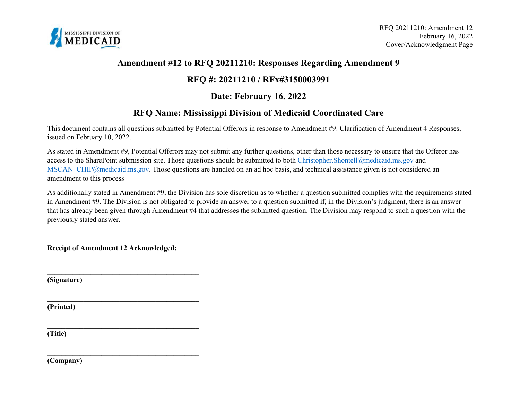

## **Amendment #12 to RFQ 20211210: Responses Regarding Amendment 9**

# **RFQ #: 20211210 / RFx#3150003991**

# **Date: February 16, 2022**

# **RFQ Name: Mississippi Division of Medicaid Coordinated Care**

This document contains all questions submitted by Potential Offerors in response to Amendment #9: Clarification of Amendment 4 Responses, issued on February 10, 2022.

As stated in Amendment #9, Potential Offerors may not submit any further questions, other than those necessary to ensure that the Offeror has access to the SharePoint submission site. Those questions should be submitted to both [Christopher.Shontell@medicaid.ms.gov](mailto:Christopher.Shontell@medicaid.ms.gov) and MSCAN CHIP@medicaid.ms.gov. Those questions are handled on an ad hoc basis, and technical assistance given is not considered an amendment to this process

As additionally stated in Amendment #9, the Division has sole discretion as to whether a question submitted complies with the requirements stated in Amendment #9. The Division is not obligated to provide an answer to a question submitted if, in the Division's judgment, there is an answer that has already been given through Amendment #4 that addresses the submitted question. The Division may respond to such a question with the previously stated answer.

**Receipt of Amendment 12 Acknowledged:** 

**\_\_\_\_\_\_\_\_\_\_\_\_\_\_\_\_\_\_\_\_\_\_\_\_\_\_\_\_\_\_\_\_\_\_\_\_\_\_\_\_\_\_** 

**\_\_\_\_\_\_\_\_\_\_\_\_\_\_\_\_\_\_\_\_\_\_\_\_\_\_\_\_\_\_\_\_\_\_\_\_\_\_\_\_\_\_** 

**\_\_\_\_\_\_\_\_\_\_\_\_\_\_\_\_\_\_\_\_\_\_\_\_\_\_\_\_\_\_\_\_\_\_\_\_\_\_\_\_\_\_** 

**\_\_\_\_\_\_\_\_\_\_\_\_\_\_\_\_\_\_\_\_\_\_\_\_\_\_\_\_\_\_\_\_\_\_\_\_\_\_\_\_\_\_** 

**(Signature)** 

**(Printed)** 

**(Title)** 

**(Company)**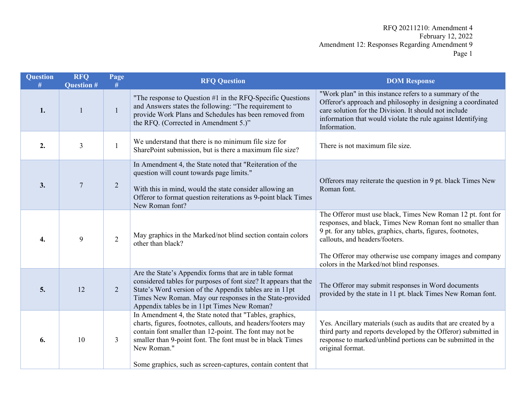| <b>Question</b><br># | <b>RFQ</b><br><b>Question #</b> | Page<br>#      | <b>RFQ Question</b>                                                                                                                                                                                                                                                                                                              | <b>DOM Response</b>                                                                                                                                                                                                                                                                    |  |
|----------------------|---------------------------------|----------------|----------------------------------------------------------------------------------------------------------------------------------------------------------------------------------------------------------------------------------------------------------------------------------------------------------------------------------|----------------------------------------------------------------------------------------------------------------------------------------------------------------------------------------------------------------------------------------------------------------------------------------|--|
| 1.                   |                                 | $\mathbf{1}$   | "The response to Question #1 in the RFQ-Specific Questions<br>and Answers states the following: "The requirement to<br>provide Work Plans and Schedules has been removed from<br>the RFQ. (Corrected in Amendment 5.)"                                                                                                           | "Work plan" in this instance refers to a summary of the<br>Offeror's approach and philosophy in designing a coordinated<br>care solution for the Division. It should not include<br>information that would violate the rule against Identifying<br>Information.                        |  |
| 2.                   | 3                               | $\mathbf{1}$   | We understand that there is no minimum file size for<br>SharePoint submission, but is there a maximum file size?                                                                                                                                                                                                                 | There is not maximum file size.                                                                                                                                                                                                                                                        |  |
| 3.                   | $\overline{7}$                  | $\overline{2}$ | In Amendment 4, the State noted that "Reiteration of the<br>question will count towards page limits."<br>With this in mind, would the state consider allowing an<br>Offeror to format question reiterations as 9-point black Times<br>New Roman font?                                                                            | Offerors may reiterate the question in 9 pt. black Times New<br>Roman font.                                                                                                                                                                                                            |  |
| 4.                   | 9                               | $\overline{2}$ | May graphics in the Marked/not blind section contain colors<br>other than black?                                                                                                                                                                                                                                                 | The Offeror must use black, Times New Roman 12 pt. font for<br>responses, and black, Times New Roman font no smaller than<br>9 pt. for any tables, graphics, charts, figures, footnotes,<br>callouts, and headers/footers.<br>The Offeror may otherwise use company images and company |  |
| 5.                   | 12                              | 2              | Are the State's Appendix forms that are in table format<br>considered tables for purposes of font size? It appears that the<br>State's Word version of the Appendix tables are in 11pt<br>Times New Roman. May our responses in the State-provided<br>Appendix tables be in 11pt Times New Roman?                                | colors in the Marked/not blind responses.<br>The Offeror may submit responses in Word documents<br>provided by the state in 11 pt. black Times New Roman font.                                                                                                                         |  |
| 6.                   | 10                              | $\overline{3}$ | In Amendment 4, the State noted that "Tables, graphics,<br>charts, figures, footnotes, callouts, and headers/footers may<br>contain font smaller than 12-point. The font may not be<br>smaller than 9-point font. The font must be in black Times<br>New Roman."<br>Some graphics, such as screen-captures, contain content that | Yes. Ancillary materials (such as audits that are created by a<br>third party and reports developed by the Offeror) submitted in<br>response to marked/unblind portions can be submitted in the<br>original format.                                                                    |  |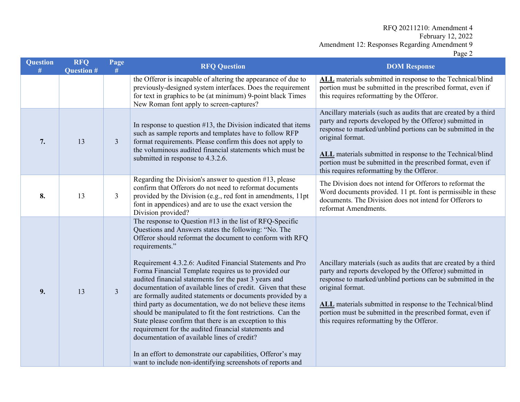| <b>Question</b><br># | <b>RFQ</b><br><b>Question #</b> | Page<br>#      | <b>RFQ Question</b>                                                                                                                                                                                                                                                                                                                                                                                                                                                                                                                                                                                                                                                                                                                                                                                                                                                                                                                     | <b>DOM Response</b>                                                                                                                                                                                                                                                                                                                                                                       |
|----------------------|---------------------------------|----------------|-----------------------------------------------------------------------------------------------------------------------------------------------------------------------------------------------------------------------------------------------------------------------------------------------------------------------------------------------------------------------------------------------------------------------------------------------------------------------------------------------------------------------------------------------------------------------------------------------------------------------------------------------------------------------------------------------------------------------------------------------------------------------------------------------------------------------------------------------------------------------------------------------------------------------------------------|-------------------------------------------------------------------------------------------------------------------------------------------------------------------------------------------------------------------------------------------------------------------------------------------------------------------------------------------------------------------------------------------|
|                      |                                 |                | the Offeror is incapable of altering the appearance of due to<br>previously-designed system interfaces. Does the requirement<br>for text in graphics to be (at minimum) 9-point black Times<br>New Roman font apply to screen-captures?                                                                                                                                                                                                                                                                                                                                                                                                                                                                                                                                                                                                                                                                                                 | ALL materials submitted in response to the Technical/blind<br>portion must be submitted in the prescribed format, even if<br>this requires reformatting by the Offeror.                                                                                                                                                                                                                   |
| 7.                   | 13                              | $\mathfrak{Z}$ | In response to question $#13$ , the Division indicated that items<br>such as sample reports and templates have to follow RFP<br>format requirements. Please confirm this does not apply to<br>the voluminous audited financial statements which must be<br>submitted in response to 4.3.2.6.                                                                                                                                                                                                                                                                                                                                                                                                                                                                                                                                                                                                                                            | Ancillary materials (such as audits that are created by a third<br>party and reports developed by the Offeror) submitted in<br>response to marked/unblind portions can be submitted in the<br>original format.<br>ALL materials submitted in response to the Technical/blind<br>portion must be submitted in the prescribed format, even if<br>this requires reformatting by the Offeror. |
| 8.                   | 13                              | 3              | Regarding the Division's answer to question #13, please<br>confirm that Offerors do not need to reformat documents<br>provided by the Division (e.g., red font in amendments, 11pt<br>font in appendices) and are to use the exact version the<br>Division provided?                                                                                                                                                                                                                                                                                                                                                                                                                                                                                                                                                                                                                                                                    | The Division does not intend for Offerors to reformat the<br>Word documents provided. 11 pt. font is permissible in these<br>documents. The Division does not intend for Offerors to<br>reformat Amendments.                                                                                                                                                                              |
| 9.                   | 13                              | $\overline{3}$ | The response to Question #13 in the list of RFQ-Specific<br>Questions and Answers states the following: "No. The<br>Offeror should reformat the document to conform with RFQ<br>requirements."<br>Requirement 4.3.2.6: Audited Financial Statements and Pro<br>Forma Financial Template requires us to provided our<br>audited financial statements for the past 3 years and<br>documentation of available lines of credit. Given that these<br>are formally audited statements or documents provided by a<br>third party as documentation, we do not believe these items<br>should be manipulated to fit the font restrictions. Can the<br>State please confirm that there is an exception to this<br>requirement for the audited financial statements and<br>documentation of available lines of credit?<br>In an effort to demonstrate our capabilities, Offeror's may<br>want to include non-identifying screenshots of reports and | Ancillary materials (such as audits that are created by a third<br>party and reports developed by the Offeror) submitted in<br>response to marked/unblind portions can be submitted in the<br>original format.<br>ALL materials submitted in response to the Technical/blind<br>portion must be submitted in the prescribed format, even if<br>this requires reformatting by the Offeror. |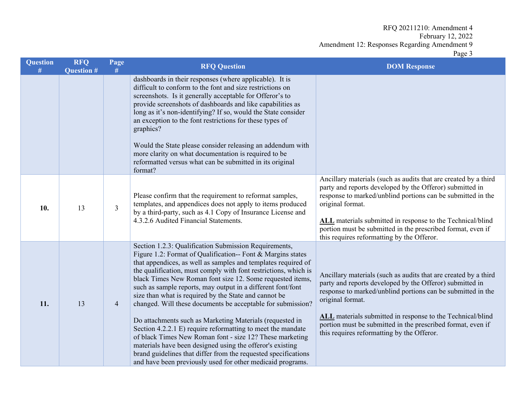| <b>Question</b><br># | <b>RFQ</b><br><b>Question #</b> | Page<br><b>RFQ Question</b><br># |                                                                                                                                                                                                                                                                                                                                                                                                                                                                                                                                                                                                                                                                                                                                                                                                                                                                                                  | <b>DOM Response</b>                                                                                                                                                                                                                                                                                                                                                                       |  |
|----------------------|---------------------------------|----------------------------------|--------------------------------------------------------------------------------------------------------------------------------------------------------------------------------------------------------------------------------------------------------------------------------------------------------------------------------------------------------------------------------------------------------------------------------------------------------------------------------------------------------------------------------------------------------------------------------------------------------------------------------------------------------------------------------------------------------------------------------------------------------------------------------------------------------------------------------------------------------------------------------------------------|-------------------------------------------------------------------------------------------------------------------------------------------------------------------------------------------------------------------------------------------------------------------------------------------------------------------------------------------------------------------------------------------|--|
|                      |                                 |                                  | dashboards in their responses (where applicable). It is<br>difficult to conform to the font and size restrictions on<br>screenshots. Is it generally acceptable for Offeror's to<br>provide screenshots of dashboards and like capabilities as<br>long as it's non-identifying? If so, would the State consider<br>an exception to the font restrictions for these types of<br>graphics?<br>Would the State please consider releasing an addendum with<br>more clarity on what documentation is required to be<br>reformatted versus what can be submitted in its original                                                                                                                                                                                                                                                                                                                       |                                                                                                                                                                                                                                                                                                                                                                                           |  |
|                      |                                 |                                  | format?                                                                                                                                                                                                                                                                                                                                                                                                                                                                                                                                                                                                                                                                                                                                                                                                                                                                                          | Ancillary materials (such as audits that are created by a third                                                                                                                                                                                                                                                                                                                           |  |
| 10.                  | 13                              | 3                                | Please confirm that the requirement to reformat samples,<br>templates, and appendices does not apply to items produced<br>by a third-party, such as 4.1 Copy of Insurance License and<br>4.3.2.6 Audited Financial Statements.                                                                                                                                                                                                                                                                                                                                                                                                                                                                                                                                                                                                                                                                   | party and reports developed by the Offeror) submitted in<br>response to marked/unblind portions can be submitted in the<br>original format.<br>ALL materials submitted in response to the Technical/blind<br>portion must be submitted in the prescribed format, even if<br>this requires reformatting by the Offeror.                                                                    |  |
| 11.                  | 13                              | $\overline{4}$                   | Section 1.2.3: Qualification Submission Requirements,<br>Figure 1.2: Format of Qualification-- Font & Margins states<br>that appendices, as well as samples and templates required of<br>the qualification, must comply with font restrictions, which is<br>black Times New Roman font size 12. Some requested items,<br>such as sample reports, may output in a different font/font<br>size than what is required by the State and cannot be<br>changed. Will these documents be acceptable for submission?<br>Do attachments such as Marketing Materials (requested in<br>Section 4.2.2.1 E) require reformatting to meet the mandate<br>of black Times New Roman font - size 12? These marketing<br>materials have been designed using the offeror's existing<br>brand guidelines that differ from the requested specifications<br>and have been previously used for other medicaid programs. | Ancillary materials (such as audits that are created by a third<br>party and reports developed by the Offeror) submitted in<br>response to marked/unblind portions can be submitted in the<br>original format.<br>ALL materials submitted in response to the Technical/blind<br>portion must be submitted in the prescribed format, even if<br>this requires reformatting by the Offeror. |  |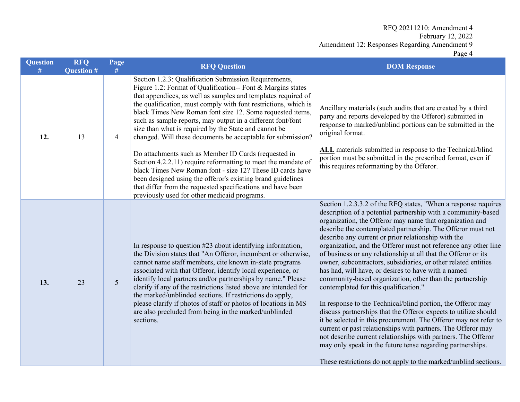| <b>Question</b><br># | <b>RFQ</b><br><b>Question #</b> | Page<br>#      | <b>RFQ Question</b>                                                                                                                                                                                                                                                                                                                                                                                                                                                                                                                                                                           | <b>DOM Response</b>                                                                                                                                                                                                                                                                                                                                                                                                                                                                                                                                                                                                                                                                                                                                                                                                                                                                                                                                                                                                                                                                                                                                          |  |
|----------------------|---------------------------------|----------------|-----------------------------------------------------------------------------------------------------------------------------------------------------------------------------------------------------------------------------------------------------------------------------------------------------------------------------------------------------------------------------------------------------------------------------------------------------------------------------------------------------------------------------------------------------------------------------------------------|--------------------------------------------------------------------------------------------------------------------------------------------------------------------------------------------------------------------------------------------------------------------------------------------------------------------------------------------------------------------------------------------------------------------------------------------------------------------------------------------------------------------------------------------------------------------------------------------------------------------------------------------------------------------------------------------------------------------------------------------------------------------------------------------------------------------------------------------------------------------------------------------------------------------------------------------------------------------------------------------------------------------------------------------------------------------------------------------------------------------------------------------------------------|--|
| 12.                  | 13                              | $\overline{4}$ | Section 1.2.3: Qualification Submission Requirements,<br>Figure 1.2: Format of Qualification-- Font & Margins states<br>that appendices, as well as samples and templates required of<br>the qualification, must comply with font restrictions, which is<br>black Times New Roman font size 12. Some requested items,<br>such as sample reports, may output in a different font/font<br>size than what is required by the State and cannot be<br>changed. Will these documents be acceptable for submission?                                                                                  | Ancillary materials (such audits that are created by a third<br>party and reports developed by the Offeror) submitted in<br>response to marked/unblind portions can be submitted in the<br>original format.                                                                                                                                                                                                                                                                                                                                                                                                                                                                                                                                                                                                                                                                                                                                                                                                                                                                                                                                                  |  |
|                      |                                 |                | Do attachments such as Member ID Cards (requested in<br>Section 4.2.2.11) require reformatting to meet the mandate of<br>black Times New Roman font - size 12? These ID cards have<br>been designed using the offeror's existing brand guidelines<br>that differ from the requested specifications and have been<br>previously used for other medicaid programs.                                                                                                                                                                                                                              | ALL materials submitted in response to the Technical/blind<br>portion must be submitted in the prescribed format, even if<br>this requires reformatting by the Offeror.                                                                                                                                                                                                                                                                                                                                                                                                                                                                                                                                                                                                                                                                                                                                                                                                                                                                                                                                                                                      |  |
| 13.                  | 23                              | 5              | In response to question #23 about identifying information,<br>the Division states that "An Offeror, incumbent or otherwise,<br>cannot name staff members, cite known in-state programs<br>associated with that Offeror, identify local experience, or<br>identify local partners and/or partnerships by name." Please<br>clarify if any of the restrictions listed above are intended for<br>the marked/unblinded sections. If restrictions do apply,<br>please clarify if photos of staff or photos of locations in MS<br>are also precluded from being in the marked/unblinded<br>sections. | Section 1.2.3.3.2 of the RFQ states, "When a response requires<br>description of a potential partnership with a community-based<br>organization, the Offeror may name that organization and<br>describe the contemplated partnership. The Offeror must not<br>describe any current or prior relationship with the<br>organization, and the Offeror must not reference any other line<br>of business or any relationship at all that the Offeror or its<br>owner, subcontractors, subsidiaries, or other related entities<br>has had, will have, or desires to have with a named<br>community-based organization, other than the partnership<br>contemplated for this qualification."<br>In response to the Technical/blind portion, the Offeror may<br>discuss partnerships that the Offeror expects to utilize should<br>it be selected in this procurement. The Offeror may not refer to<br>current or past relationships with partners. The Offeror may<br>not describe current relationships with partners. The Offeror<br>may only speak in the future tense regarding partnerships.<br>These restrictions do not apply to the marked/unblind sections. |  |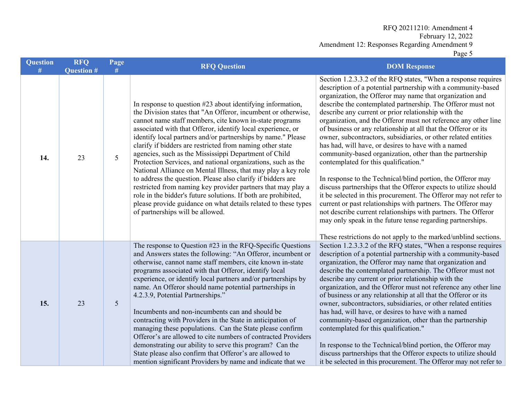| <b>Question</b><br># | <b>RFQ</b><br><b>Question #</b> | Page<br>#       | <b>RFQ Question</b>                                                                                                                                                                                                                                                                                                                                                                                                                                                                                                                                                                                                                                                                                                                                                                                                                                                                 | <b>DOM Response</b>                                                                                                                                                                                                                                                                                                                                                                                                                                                                                                                                                                                                                                                                                                                                                                                                                                                                                                                                                                                                                                                                                                                                          |  |
|----------------------|---------------------------------|-----------------|-------------------------------------------------------------------------------------------------------------------------------------------------------------------------------------------------------------------------------------------------------------------------------------------------------------------------------------------------------------------------------------------------------------------------------------------------------------------------------------------------------------------------------------------------------------------------------------------------------------------------------------------------------------------------------------------------------------------------------------------------------------------------------------------------------------------------------------------------------------------------------------|--------------------------------------------------------------------------------------------------------------------------------------------------------------------------------------------------------------------------------------------------------------------------------------------------------------------------------------------------------------------------------------------------------------------------------------------------------------------------------------------------------------------------------------------------------------------------------------------------------------------------------------------------------------------------------------------------------------------------------------------------------------------------------------------------------------------------------------------------------------------------------------------------------------------------------------------------------------------------------------------------------------------------------------------------------------------------------------------------------------------------------------------------------------|--|
| 14.                  | 23                              | 5               | In response to question #23 about identifying information,<br>the Division states that "An Offeror, incumbent or otherwise,<br>cannot name staff members, cite known in-state programs<br>associated with that Offeror, identify local experience, or<br>identify local partners and/or partnerships by name." Please<br>clarify if bidders are restricted from naming other state<br>agencies, such as the Mississippi Department of Child<br>Protection Services, and national organizations, such as the<br>National Alliance on Mental Illness, that may play a key role<br>to address the question. Please also clarify if bidders are<br>restricted from naming key provider partners that may play a<br>role in the bidder's future solutions. If both are prohibited,<br>please provide guidance on what details related to these types<br>of partnerships will be allowed. | Section 1.2.3.3.2 of the RFQ states, "When a response requires<br>description of a potential partnership with a community-based<br>organization, the Offeror may name that organization and<br>describe the contemplated partnership. The Offeror must not<br>describe any current or prior relationship with the<br>organization, and the Offeror must not reference any other line<br>of business or any relationship at all that the Offeror or its<br>owner, subcontractors, subsidiaries, or other related entities<br>has had, will have, or desires to have with a named<br>community-based organization, other than the partnership<br>contemplated for this qualification."<br>In response to the Technical/blind portion, the Offeror may<br>discuss partnerships that the Offeror expects to utilize should<br>it be selected in this procurement. The Offeror may not refer to<br>current or past relationships with partners. The Offeror may<br>not describe current relationships with partners. The Offeror<br>may only speak in the future tense regarding partnerships.<br>These restrictions do not apply to the marked/unblind sections. |  |
| 15.                  | 23                              | $5\overline{)}$ | The response to Question #23 in the RFQ-Specific Questions<br>and Answers states the following: "An Offeror, incumbent or<br>otherwise, cannot name staff members, cite known in-state<br>programs associated with that Offeror, identify local<br>experience, or identify local partners and/or partnerships by<br>name. An Offeror should name potential partnerships in<br>4.2.3.9, Potential Partnerships."<br>Incumbents and non-incumbents can and should be<br>contracting with Providers in the State in anticipation of<br>managing these populations. Can the State please confirm<br>Offeror's are allowed to cite numbers of contracted Providers<br>demonstrating our ability to serve this program? Can the<br>State please also confirm that Offeror's are allowed to<br>mention significant Providers by name and indicate that we                                  | Section 1.2.3.3.2 of the RFQ states, "When a response requires<br>description of a potential partnership with a community-based<br>organization, the Offeror may name that organization and<br>describe the contemplated partnership. The Offeror must not<br>describe any current or prior relationship with the<br>organization, and the Offeror must not reference any other line<br>of business or any relationship at all that the Offeror or its<br>owner, subcontractors, subsidiaries, or other related entities<br>has had, will have, or desires to have with a named<br>community-based organization, other than the partnership<br>contemplated for this qualification."<br>In response to the Technical/blind portion, the Offeror may<br>discuss partnerships that the Offeror expects to utilize should<br>it be selected in this procurement. The Offeror may not refer to                                                                                                                                                                                                                                                                   |  |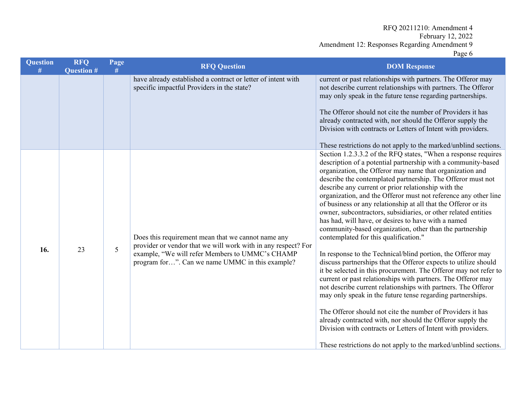| <b>Question</b><br># | <b>RFQ</b><br><b>Question #</b> | Page<br># | <b>RFQ Question</b>                                                                                                                                                                                                       | <b>DOM Response</b>                                                                                                                                                                                                                                                                                                                                                                                                                                                                                                                                                                                                                                                                                                                                                                                                                                                                                                                                                                                                                                                                                                                                                                                                                                                                                                                                      |
|----------------------|---------------------------------|-----------|---------------------------------------------------------------------------------------------------------------------------------------------------------------------------------------------------------------------------|----------------------------------------------------------------------------------------------------------------------------------------------------------------------------------------------------------------------------------------------------------------------------------------------------------------------------------------------------------------------------------------------------------------------------------------------------------------------------------------------------------------------------------------------------------------------------------------------------------------------------------------------------------------------------------------------------------------------------------------------------------------------------------------------------------------------------------------------------------------------------------------------------------------------------------------------------------------------------------------------------------------------------------------------------------------------------------------------------------------------------------------------------------------------------------------------------------------------------------------------------------------------------------------------------------------------------------------------------------|
|                      |                                 |           | have already established a contract or letter of intent with<br>specific impactful Providers in the state?                                                                                                                | current or past relationships with partners. The Offeror may<br>not describe current relationships with partners. The Offeror<br>may only speak in the future tense regarding partnerships.<br>The Offeror should not cite the number of Providers it has<br>already contracted with, nor should the Offeror supply the<br>Division with contracts or Letters of Intent with providers.<br>These restrictions do not apply to the marked/unblind sections.                                                                                                                                                                                                                                                                                                                                                                                                                                                                                                                                                                                                                                                                                                                                                                                                                                                                                               |
| 16.                  | 23                              | 5         | Does this requirement mean that we cannot name any<br>provider or vendor that we will work with in any respect? For<br>example, "We will refer Members to UMMC's CHAMP<br>program for". Can we name UMMC in this example? | Section 1.2.3.3.2 of the RFQ states, "When a response requires<br>description of a potential partnership with a community-based<br>organization, the Offeror may name that organization and<br>describe the contemplated partnership. The Offeror must not<br>describe any current or prior relationship with the<br>organization, and the Offeror must not reference any other line<br>of business or any relationship at all that the Offeror or its<br>owner, subcontractors, subsidiaries, or other related entities<br>has had, will have, or desires to have with a named<br>community-based organization, other than the partnership<br>contemplated for this qualification."<br>In response to the Technical/blind portion, the Offeror may<br>discuss partnerships that the Offeror expects to utilize should<br>it be selected in this procurement. The Offeror may not refer to<br>current or past relationships with partners. The Offeror may<br>not describe current relationships with partners. The Offeror<br>may only speak in the future tense regarding partnerships.<br>The Offeror should not cite the number of Providers it has<br>already contracted with, nor should the Offeror supply the<br>Division with contracts or Letters of Intent with providers.<br>These restrictions do not apply to the marked/unblind sections. |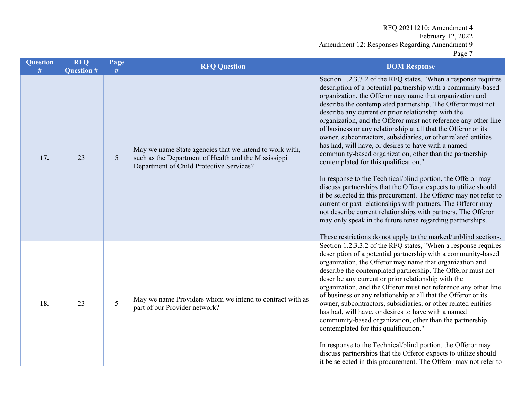| <b>Question</b> | <b>RFQ</b><br><b>Question #</b> | Page<br>#       | <b>RFQ Question</b>                                                                                                                                         | <b>DOM Response</b>                                                                                                                                                                                                                                                                                                                                                                                                                                                                                                                                                                                                                                                                                                                                                                                                                                                                                                                                                                                                                                                                                                                                          |
|-----------------|---------------------------------|-----------------|-------------------------------------------------------------------------------------------------------------------------------------------------------------|--------------------------------------------------------------------------------------------------------------------------------------------------------------------------------------------------------------------------------------------------------------------------------------------------------------------------------------------------------------------------------------------------------------------------------------------------------------------------------------------------------------------------------------------------------------------------------------------------------------------------------------------------------------------------------------------------------------------------------------------------------------------------------------------------------------------------------------------------------------------------------------------------------------------------------------------------------------------------------------------------------------------------------------------------------------------------------------------------------------------------------------------------------------|
| 17.             | 23                              | $5\overline{)}$ | May we name State agencies that we intend to work with,<br>such as the Department of Health and the Mississippi<br>Department of Child Protective Services? | Section 1.2.3.3.2 of the RFQ states, "When a response requires<br>description of a potential partnership with a community-based<br>organization, the Offeror may name that organization and<br>describe the contemplated partnership. The Offeror must not<br>describe any current or prior relationship with the<br>organization, and the Offeror must not reference any other line<br>of business or any relationship at all that the Offeror or its<br>owner, subcontractors, subsidiaries, or other related entities<br>has had, will have, or desires to have with a named<br>community-based organization, other than the partnership<br>contemplated for this qualification."<br>In response to the Technical/blind portion, the Offeror may<br>discuss partnerships that the Offeror expects to utilize should<br>it be selected in this procurement. The Offeror may not refer to<br>current or past relationships with partners. The Offeror may<br>not describe current relationships with partners. The Offeror<br>may only speak in the future tense regarding partnerships.<br>These restrictions do not apply to the marked/unblind sections. |
| 18.             | 23                              | 5               | May we name Providers whom we intend to contract with as<br>part of our Provider network?                                                                   | Section 1.2.3.3.2 of the RFQ states, "When a response requires<br>description of a potential partnership with a community-based<br>organization, the Offeror may name that organization and<br>describe the contemplated partnership. The Offeror must not<br>describe any current or prior relationship with the<br>organization, and the Offeror must not reference any other line<br>of business or any relationship at all that the Offeror or its<br>owner, subcontractors, subsidiaries, or other related entities<br>has had, will have, or desires to have with a named<br>community-based organization, other than the partnership<br>contemplated for this qualification."<br>In response to the Technical/blind portion, the Offeror may<br>discuss partnerships that the Offeror expects to utilize should<br>it be selected in this procurement. The Offeror may not refer to                                                                                                                                                                                                                                                                   |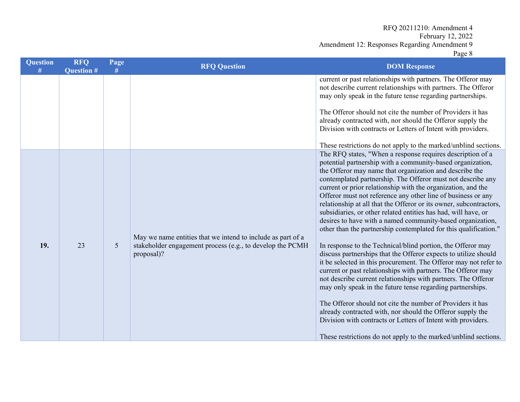| <b>Question</b><br># | <b>RFQ</b><br><b>Question #</b> | Page<br># | <b>RFQ Question</b>                                                                                                                    | <b>DOM Response</b>                                                                                                                                                                                                                                                                                                                                                                                                                                                                                                                                                                                                                                                                                                                                                                                                                                                                                                                                                                                                                                                                                                                                                                                                                                                                                                              |  |  |
|----------------------|---------------------------------|-----------|----------------------------------------------------------------------------------------------------------------------------------------|----------------------------------------------------------------------------------------------------------------------------------------------------------------------------------------------------------------------------------------------------------------------------------------------------------------------------------------------------------------------------------------------------------------------------------------------------------------------------------------------------------------------------------------------------------------------------------------------------------------------------------------------------------------------------------------------------------------------------------------------------------------------------------------------------------------------------------------------------------------------------------------------------------------------------------------------------------------------------------------------------------------------------------------------------------------------------------------------------------------------------------------------------------------------------------------------------------------------------------------------------------------------------------------------------------------------------------|--|--|
|                      |                                 |           |                                                                                                                                        | current or past relationships with partners. The Offeror may<br>not describe current relationships with partners. The Offeror<br>may only speak in the future tense regarding partnerships.<br>The Offeror should not cite the number of Providers it has<br>already contracted with, nor should the Offeror supply the<br>Division with contracts or Letters of Intent with providers.<br>These restrictions do not apply to the marked/unblind sections.                                                                                                                                                                                                                                                                                                                                                                                                                                                                                                                                                                                                                                                                                                                                                                                                                                                                       |  |  |
| 19.                  | 23                              | 5         | May we name entities that we intend to include as part of a<br>stakeholder engagement process (e.g., to develop the PCMH<br>proposal)? | The RFQ states, "When a response requires description of a<br>potential partnership with a community-based organization,<br>the Offeror may name that organization and describe the<br>contemplated partnership. The Offeror must not describe any<br>current or prior relationship with the organization, and the<br>Offeror must not reference any other line of business or any<br>relationship at all that the Offeror or its owner, subcontractors,<br>subsidiaries, or other related entities has had, will have, or<br>desires to have with a named community-based organization,<br>other than the partnership contemplated for this qualification."<br>In response to the Technical/blind portion, the Offeror may<br>discuss partnerships that the Offeror expects to utilize should<br>it be selected in this procurement. The Offeror may not refer to<br>current or past relationships with partners. The Offeror may<br>not describe current relationships with partners. The Offeror<br>may only speak in the future tense regarding partnerships.<br>The Offeror should not cite the number of Providers it has<br>already contracted with, nor should the Offeror supply the<br>Division with contracts or Letters of Intent with providers.<br>These restrictions do not apply to the marked/unblind sections. |  |  |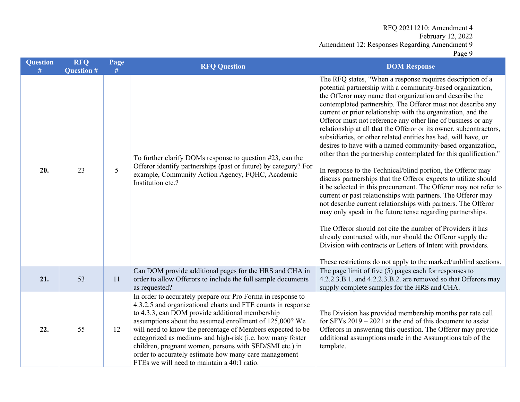| <b>Question</b> | <b>RFQ</b><br><b>Question #</b> | Page<br># | <b>RFQ Question</b>                                                                                                                                                                                                                                                                                                                                                                                                                                                                                                                      | <b>DOM Response</b>                                                                                                                                                                                                                                                                                                                                                                                                                                                                                                                                                                                                                                                                                                                                                                                                                                                                                                                                                                                                                                                                                                                                                                                                                                                                                                              |
|-----------------|---------------------------------|-----------|------------------------------------------------------------------------------------------------------------------------------------------------------------------------------------------------------------------------------------------------------------------------------------------------------------------------------------------------------------------------------------------------------------------------------------------------------------------------------------------------------------------------------------------|----------------------------------------------------------------------------------------------------------------------------------------------------------------------------------------------------------------------------------------------------------------------------------------------------------------------------------------------------------------------------------------------------------------------------------------------------------------------------------------------------------------------------------------------------------------------------------------------------------------------------------------------------------------------------------------------------------------------------------------------------------------------------------------------------------------------------------------------------------------------------------------------------------------------------------------------------------------------------------------------------------------------------------------------------------------------------------------------------------------------------------------------------------------------------------------------------------------------------------------------------------------------------------------------------------------------------------|
| 20.             | 23                              | 5         | To further clarify DOMs response to question $#23$ , can the<br>Offeror identify partnerships (past or future) by category? For<br>example, Community Action Agency, FQHC, Academic<br>Institution etc.?                                                                                                                                                                                                                                                                                                                                 | The RFQ states, "When a response requires description of a<br>potential partnership with a community-based organization,<br>the Offeror may name that organization and describe the<br>contemplated partnership. The Offeror must not describe any<br>current or prior relationship with the organization, and the<br>Offeror must not reference any other line of business or any<br>relationship at all that the Offeror or its owner, subcontractors,<br>subsidiaries, or other related entities has had, will have, or<br>desires to have with a named community-based organization,<br>other than the partnership contemplated for this qualification."<br>In response to the Technical/blind portion, the Offeror may<br>discuss partnerships that the Offeror expects to utilize should<br>it be selected in this procurement. The Offeror may not refer to<br>current or past relationships with partners. The Offeror may<br>not describe current relationships with partners. The Offeror<br>may only speak in the future tense regarding partnerships.<br>The Offeror should not cite the number of Providers it has<br>already contracted with, nor should the Offeror supply the<br>Division with contracts or Letters of Intent with providers.<br>These restrictions do not apply to the marked/unblind sections. |
| 21.             | 53                              | 11        | Can DOM provide additional pages for the HRS and CHA in<br>order to allow Offerors to include the full sample documents<br>as requested?                                                                                                                                                                                                                                                                                                                                                                                                 | The page limit of five $(5)$ pages each for responses to<br>4.2.2.3.B.1. and 4.2.2.3.B.2. are removed so that Offerors may<br>supply complete samples for the HRS and CHA.                                                                                                                                                                                                                                                                                                                                                                                                                                                                                                                                                                                                                                                                                                                                                                                                                                                                                                                                                                                                                                                                                                                                                       |
| 22.             | 55                              | 12        | In order to accurately prepare our Pro Forma in response to<br>4.3.2.5 and organizational charts and FTE counts in response<br>to 4.3.3, can DOM provide additional membership<br>assumptions about the assumed enrollment of 125,000? We<br>will need to know the percentage of Members expected to be<br>categorized as medium- and high-risk (i.e. how many foster<br>children, pregnant women, persons with SED/SMI etc.) in<br>order to accurately estimate how many care management<br>FTEs we will need to maintain a 40:1 ratio. | The Division has provided membership months per rate cell<br>for SFYs $2019 - 2021$ at the end of this document to assist<br>Offerors in answering this question. The Offeror may provide<br>additional assumptions made in the Assumptions tab of the<br>template.                                                                                                                                                                                                                                                                                                                                                                                                                                                                                                                                                                                                                                                                                                                                                                                                                                                                                                                                                                                                                                                              |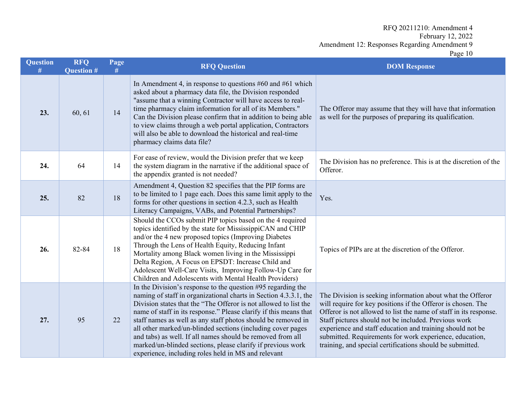| <b>Question</b><br># | <b>RFQ</b><br><b>Question #</b> | Page<br># | <b>RFQ Question</b>                                                                                                                                                                                                                                                                                                                                                                                                                                                                                                                                                                          | <b>DOM Response</b>                                                                                                                                                                                                                                                                                                                                                                                                                          |  |
|----------------------|---------------------------------|-----------|----------------------------------------------------------------------------------------------------------------------------------------------------------------------------------------------------------------------------------------------------------------------------------------------------------------------------------------------------------------------------------------------------------------------------------------------------------------------------------------------------------------------------------------------------------------------------------------------|----------------------------------------------------------------------------------------------------------------------------------------------------------------------------------------------------------------------------------------------------------------------------------------------------------------------------------------------------------------------------------------------------------------------------------------------|--|
| 23.                  | 60, 61                          | 14        | In Amendment 4, in response to questions #60 and #61 which<br>asked about a pharmacy data file, the Division responded<br>"assume that a winning Contractor will have access to real-<br>time pharmacy claim information for all of its Members."<br>Can the Division please confirm that in addition to being able<br>to view claims through a web portal application, Contractors<br>will also be able to download the historical and real-time<br>pharmacy claims data file?                                                                                                              | The Offeror may assume that they will have that information<br>as well for the purposes of preparing its qualification.                                                                                                                                                                                                                                                                                                                      |  |
| 24.                  | 64                              | 14        | For ease of review, would the Division prefer that we keep<br>the system diagram in the narrative if the additional space of<br>the appendix granted is not needed?                                                                                                                                                                                                                                                                                                                                                                                                                          | The Division has no preference. This is at the discretion of the<br>Offeror.                                                                                                                                                                                                                                                                                                                                                                 |  |
| 25.                  | 82                              | 18        | Amendment 4, Question 82 specifies that the PIP forms are<br>to be limited to 1 page each. Does this same limit apply to the<br>forms for other questions in section 4.2.3, such as Health<br>Literacy Campaigns, VABs, and Potential Partnerships?                                                                                                                                                                                                                                                                                                                                          | Yes.                                                                                                                                                                                                                                                                                                                                                                                                                                         |  |
| 26.                  | 82-84                           | 18        | Should the CCOs submit PIP topics based on the 4 required<br>topics identified by the state for MississippiCAN and CHIP<br>and/or the 4 new proposed topics (Improving Diabetes<br>Through the Lens of Health Equity, Reducing Infant<br>Mortality among Black women living in the Mississippi<br>Delta Region, A Focus on EPSDT: Increase Child and<br>Adolescent Well-Care Visits, Improving Follow-Up Care for<br>Children and Adolescents with Mental Health Providers)                                                                                                                  | Topics of PIPs are at the discretion of the Offeror.                                                                                                                                                                                                                                                                                                                                                                                         |  |
| 27.                  | 95                              | 22        | In the Division's response to the question #95 regarding the<br>naming of staff in organizational charts in Section 4.3.3.1, the<br>Division states that the "The Offeror is not allowed to list the<br>name of staff in its response." Please clarify if this means that<br>staff names as well as any staff photos should be removed in<br>all other marked/un-blinded sections (including cover pages<br>and tabs) as well. If all names should be removed from all<br>marked/un-blinded sections, please clarify if previous work<br>experience, including roles held in MS and relevant | The Division is seeking information about what the Offeror<br>will require for key positions if the Offeror is chosen. The<br>Offeror is not allowed to list the name of staff in its response.<br>Staff pictures should not be included. Previous work<br>experience and staff education and training should not be<br>submitted. Requirements for work experience, education,<br>training, and special certifications should be submitted. |  |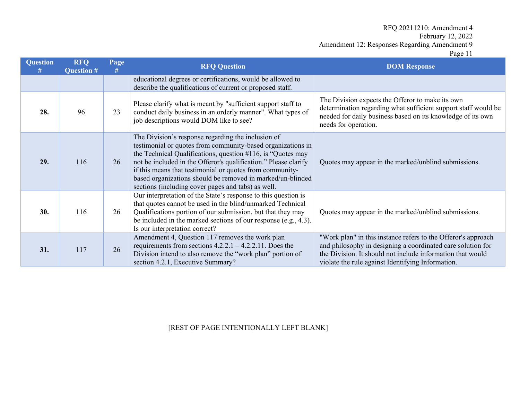Page 11

| <b>Question</b><br># | <b>RFQ</b><br><b>Question #</b> | Page<br># | <b>RFQ Question</b>                                                                                                                                                                                                                                                                                                                                                                                                                 | <b>DOM Response</b>                                                                                                                                                                                                                             |  |
|----------------------|---------------------------------|-----------|-------------------------------------------------------------------------------------------------------------------------------------------------------------------------------------------------------------------------------------------------------------------------------------------------------------------------------------------------------------------------------------------------------------------------------------|-------------------------------------------------------------------------------------------------------------------------------------------------------------------------------------------------------------------------------------------------|--|
|                      |                                 |           | educational degrees or certifications, would be allowed to<br>describe the qualifications of current or proposed staff.                                                                                                                                                                                                                                                                                                             |                                                                                                                                                                                                                                                 |  |
| 28.                  | 96                              | 23        | Please clarify what is meant by "sufficient support staff to<br>conduct daily business in an orderly manner". What types of<br>job descriptions would DOM like to see?                                                                                                                                                                                                                                                              | The Division expects the Offeror to make its own<br>determination regarding what sufficient support staff would be<br>needed for daily business based on its knowledge of its own<br>needs for operation.                                       |  |
| 29.                  | 116                             | 26        | The Division's response regarding the inclusion of<br>testimonial or quotes from community-based organizations in<br>the Technical Qualifications, question #116, is "Quotes may<br>not be included in the Offeror's qualification." Please clarify<br>if this means that testimonial or quotes from community-<br>based organizations should be removed in marked/un-blinded<br>sections (including cover pages and tabs) as well. | Quotes may appear in the marked/unblind submissions.                                                                                                                                                                                            |  |
| 30.                  | 116                             | 26        | Our interpretation of the State's response to this question is<br>that quotes cannot be used in the blind/unmarked Technical<br>Qualifications portion of our submission, but that they may<br>be included in the marked sections of our response (e.g., $4.3$ ).<br>Is our interpretation correct?                                                                                                                                 | Quotes may appear in the marked/unblind submissions.                                                                                                                                                                                            |  |
| 31.                  | 117                             | 26        | Amendment 4, Question 117 removes the work plan<br>requirements from sections $4.2.2.1 - 4.2.2.11$ . Does the<br>Division intend to also remove the "work plan" portion of<br>section 4.2.1, Executive Summary?                                                                                                                                                                                                                     | "Work plan" in this instance refers to the Offeror's approach<br>and philosophy in designing a coordinated care solution for<br>the Division. It should not include information that would<br>violate the rule against Identifying Information. |  |

## [REST OF PAGE INTENTIONALLY LEFT BLANK]